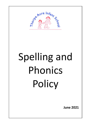

# Spelling and Phonics Policy

**June 2021**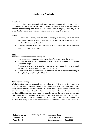# **Spelling and Phonics Policy**

# **Introduction**

In order to read and write accurately with speed and understanding, children must have a good understanding of the way we spell in the English language. Initially this involves the children understanding the basic phonetic code used in English, later they must understand a wide range of rules that are particular to the English language.

# **Intent**

- To create an inclusive, inspired and challenging curriculum, which develops children's knowledge of phonics, enabling them to become successful readers who develop a life-long love of reading.
- To ensure children in KS1 are given the best opportunity to achieve expected progress, or more, in reading.

# **Aims**

The school aims for phonics and spelling are:

- Ensure a consistent approach, to the teaching of phonics, across the school.
- To teach the basic auditory and reading skills of letters and words by the end of Foundation Stage
- To develop phoneme and grapheme awareness to include the majority used regularly in the English language by the end of year 1
- To develop an understanding of more complex rules and exceptions of spelling in the English language throughout Year 2.

# **Teaching and Learning**

We believe that teaching phonics from the beginning of EYFS to the end of Year 2 in a discrete daily session, enables children to learn and embed skills that they will be able to apply subconsciously for the rest of their lives. The discrete daily session taught across EYFS and KS1 is differentiated based on teacher assessments. This may be between class teachers within a particular year group and may also include the use of small groups with LSAs leading sessions. Lessons will be taught using the guidance of the Read, Write Inc. materials and assessment for learning processes such as the school's trackers and teachers' knowledge of the child in phonic sessions as well as other areas of the curriculum.

| <b>Established by:</b> | English Subject Leader | <b>Approved Gov:</b>    |           |
|------------------------|------------------------|-------------------------|-----------|
| <b>Revised by:</b>     |                        | <b>Last reviewed:</b>   | June 2021 |
| Page 2 of 5            |                        | <b>Next review due:</b> | June 2022 |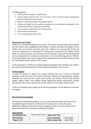The RWI approach:

- Initial sounds are taught in a specific order
- Sounds taught should be 'pure' ie 'b', not 'buh' as this is central to phonic teaching and ability to recognise sounds in words.
- Blends are declustered. eg bl is two specific sounds.
- Children are taught that the number of graphemes in a word always corresponds to the number of phonemes. This greatly aids spelling.
- Set 2 sounds are taught after Set 1 (initial sounds)
- Letter names are introduced
- Set 3 are taught after letter names

# **Assessment and Testing**

Children are assessed throughout every lesson. This is done through teacher observations and the written work completed by the children. Teachers will track the progress of the children they are teaching and liaise with LSAs. Children are assessed half termly and names are entered onto a tracking grid. Tracking data is analysed by the English subject leader on a half termly basis, the outcomes of this tracking is shared with all teaching staff who are responsible for handing the information on to LSAs delivering phonics. Children on the SEN register who require support with spelling and phonics will be assessed using the 'Small Steps tracker' based on the P Scales.

At the end of year 1, children are tested using the compulsory DFE materials. Any children who do not meet the expectation will be retested during their time in year 2.

# **Further Support**

In order for teachers to deliver first quality teaching, they use a variety of teaching methods so that they cater for all styles of learning. Teachers can seek guidance, support materials and resources from: Letters and Sounds, Fast Phonics, Phonics Play and the English subject leader. Any children falling significantly behind expectations receive appropriate interventions planned for by their teacher or the English subject leader.

A full list of spellings to be taught can be found in Appendix 1 of the National Curriculum for English.

# **Role of the Governing Body**

The purpose of the Governing Body is to ensure the implementation of the Early Years Foundation Stage Framework, the National Curriculum and to review the policy. Additional meetings may be held to discuss English priorities across the school and to gain an overview of the teaching and learning of English.

### **Policy Review**

| <b>Established by:</b> | English Subject Leader | <b>Approved Gov:</b>    |           |
|------------------------|------------------------|-------------------------|-----------|
| <b>Revised by:</b>     |                        | <b>Last reviewed:</b>   | June 2021 |
| Page 3 of 5            |                        | <b>Next review due:</b> | June 2022 |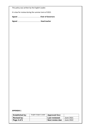This policy was written by the English Leader.

It is due for review during the summer term of 2022.

**Signed** …………………………………………….. **Chair of Governors**

**Signed** ……………………………………………… **Head teacher**

# **APPENDIX 1**

| <b>Established by:</b> | English Subject Leader | <b>Approved Gov:</b>    |           |
|------------------------|------------------------|-------------------------|-----------|
| <b>Revised by:</b>     |                        | <b>Last reviewed:</b>   | June 2021 |
| Page 4 of 5            |                        | <b>Next review due:</b> | June 2022 |